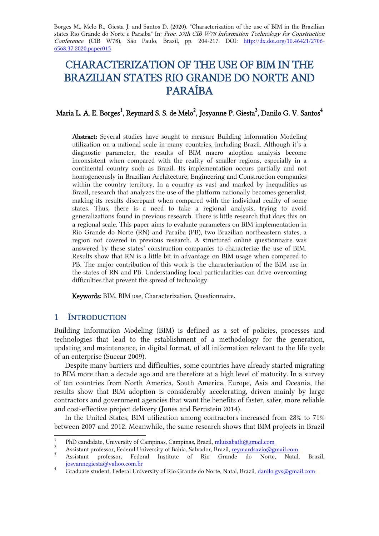Borges M., Melo R., Giesta J. and Santos D. (2020). "Characterization of the use of BIM in the Brazilian states Rio Grande do Norte e Paraiba" In: Proc. 37th CIB W78 Information Technology for Construction Conference (CIB W78), São Paulo, Brazil, pp. 204-217. DOI: http://dx.doi.org/10.46421/2706- 6568.37.2020.paper015

# CHARACTERIZATION OF THE USE OF BIM IN THE BRAZILIAN STATES RIO GRANDE DO NORTE AND PARAÍBA

# Maria L. A. E. Borges $^1$ , Reymard S. S. de Melo $^2$ , Josyanne P. Giesta $^3$ , Danilo G. V. Santos $^4$

Abstract: Several studies have sought to measure Building Information Modeling utilization on a national scale in many countries, including Brazil. Although it's a diagnostic parameter, the results of BIM macro adoption analysis become inconsistent when compared with the reality of smaller regions, especially in a continental country such as Brazil. Its implementation occurs partially and not homogeneously in Brazilian Architecture, Engineering and Construction companies within the country territory. In a country as vast and marked by inequalities as Brazil, research that analyzes the use of the platform nationally becomes generalist, making its results discrepant when compared with the individual reality of some states. Thus, there is a need to take a regional analysis, trying to avoid generalizations found in previous research. There is little research that does this on a regional scale. This paper aims to evaluate parameters on BIM implementation in Rio Grande do Norte (RN) and Paraíba (PB), two Brazilian northeastern states, a region not covered in previous research. A structured online questionnaire was answered by these states' construction companies to characterize the use of BIM. Results show that RN is a little bit in advantage on BIM usage when compared to PB. The major contribution of this work is the characterization of the BIM use in the states of RN and PB. Understanding local particularities can drive overcoming difficulties that prevent the spread of technology.

Keywords: BIM, BIM use, Characterization, Questionnaire.

## 1 INTRODUCTION

Building Information Modeling (BIM) is defined as a set of policies, processes and technologies that lead to the establishment of a methodology for the generation, updating and maintenance, in digital format, of all information relevant to the life cycle of an enterprise (Succar 2009).

Despite many barriers and difficulties, some countries have already started migrating to BIM more than a decade ago and are therefore at a high level of maturity. In a survey of ten countries from North America, South America, Europe, Asia and Oceania, the results show that BIM adoption is considerably accelerating, driven mainly by large contractors and government agencies that want the benefits of faster, safer, more reliable and cost-effective project delivery (Jones and Bernstein 2014).

In the United States, BIM utilization among contractors increased from 28% to 71% between 2007 and 2012. Meanwhile, the same research shows that BIM projects in Brazil

 $\frac{1}{1}$ PhD candidate, University of Campinas, Campinas, Brazil, [mluizabath@gmail.com](mailto:mluizabath@gmail.com)

<sup>&</sup>lt;sup>2</sup><br>Assistant professor, Federal University of Bahia, Salvador, Brazil, <u>reymardsavio@gmail.com</u>

<sup>3</sup> Assistant professor, Federal Institute of Rio Grande do Norte, Natal, Brazil, [josyannegiesta@yahoo.com.br](mailto:josyannegiesta@yahoo.com.br)

<sup>4</sup> Graduate student, Federal University of Rio Grande do Norte, Natal, Brazil, [danilo.gvs@gmail.com](mailto:danilo.gvs@gmail.com)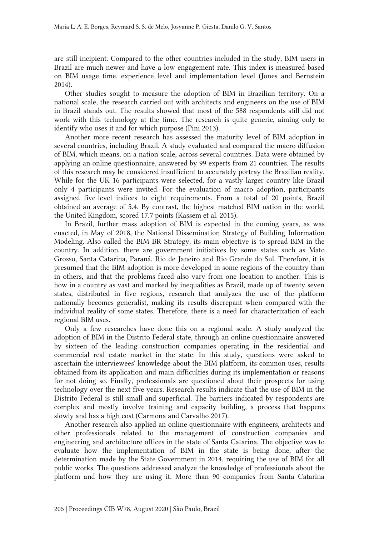are still incipient. Compared to the other countries included in the study, BIM users in Brazil are much newer and have a low engagement rate. This index is measured based on BIM usage time, experience level and implementation level (Jones and Bernstein 2014).

Other studies sought to measure the adoption of BIM in Brazilian territory. On a national scale, the research carried out with architects and engineers on the use of BIM in Brazil stands out. The results showed that most of the 588 respondents still did not work with this technology at the time. The research is quite generic, aiming only to identify who uses it and for which purpose (Pini 2013).

Another more recent research has assessed the maturity level of BIM adoption in several countries, including Brazil. A study evaluated and compared the macro diffusion of BIM, which means, on a nation scale, across several countries. Data were obtained by applying an online questionnaire, answered by 99 experts from 21 countries. The results of this research may be considered insufficient to accurately portray the Brazilian reality. While for the UK 16 participants were selected, for a vastly larger country like Brazil only 4 participants were invited. For the evaluation of macro adoption, participants assigned five-level indices to eight requirements. From a total of 20 points, Brazil obtained an average of 5.4. By contrast, the highest-matched BIM nation in the world, the United Kingdom, scored 17.7 points (Kassem et al. 2015).

In Brazil, further mass adoption of BIM is expected in the coming years, as was enacted, in May of 2018, the National Dissemination Strategy of Building Information Modeling. Also called the BIM BR Strategy, its main objective is to spread BIM in the country. In addition, there are government initiatives by some states such as Mato Grosso, Santa Catarina, Paraná, Rio de Janeiro and Rio Grande do Sul. Therefore, it is presumed that the BIM adoption is more developed in some regions of the country than in others, and that the problems faced also vary from one location to another. This is how in a country as vast and marked by inequalities as Brazil, made up of twenty seven states, distributed in five regions, research that analyzes the use of the platform nationally becomes generalist, making its results discrepant when compared with the individual reality of some states. Therefore, there is a need for characterization of each regional BIM uses.

Only a few researches have done this on a regional scale. A study analyzed the adoption of BIM in the Distrito Federal state, through an online questionnaire answered by sixteen of the leading construction companies operating in the residential and commercial real estate market in the state. In this study, questions were asked to ascertain the interviewees' knowledge about the BIM platform, its common uses, results obtained from its application and main difficulties during its implementation or reasons for not doing so. Finally, professionals are questioned about their prospects for using technology over the next five years. Research results indicate that the use of BIM in the Distrito Federal is still small and superficial. The barriers indicated by respondents are complex and mostly involve training and capacity building, a process that happens slowly and has a high cost (Carmona and Carvalho 2017).

Another research also applied an online questionnaire with engineers, architects and other professionals related to the management of construction companies and engineering and architecture offices in the state of Santa Catarina. The objective was to evaluate how the implementation of BIM in the state is being done, after the determination made by the State Government in 2014, requiring the use of BIM for all public works. The questions addressed analyze the knowledge of professionals about the platform and how they are using it. More than 90 companies from Santa Catarina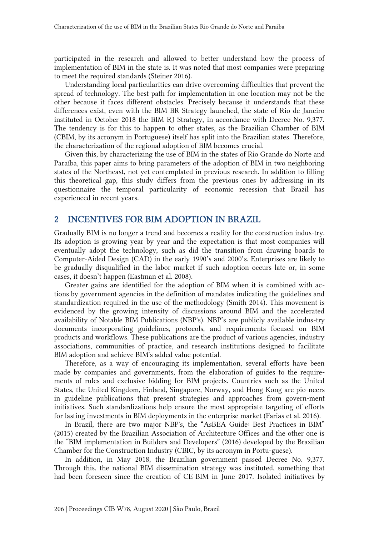participated in the research and allowed to better understand how the process of implementation of BIM in the state is. It was noted that most companies were preparing to meet the required standards (Steiner 2016).

Understanding local particularities can drive overcoming difficulties that prevent the spread of technology. The best path for implementation in one location may not be the other because it faces different obstacles. Precisely because it understands that these differences exist, even with the BIM BR Strategy launched, the state of Rio de Janeiro instituted in October 2018 the BIM RJ Strategy, in accordance with Decree No. 9,377. The tendency is for this to happen to other states, as the Brazilian Chamber of BIM (CBIM, by its acronym in Portuguese) itself has split into the Brazilian states. Therefore, the characterization of the regional adoption of BIM becomes crucial.

Given this, by characterizing the use of BIM in the states of Rio Grande do Norte and Paraíba, this paper aims to bring parameters of the adoption of BIM in two neighboring states of the Northeast, not yet contemplated in previous research. In addition to filling this theoretical gap, this study differs from the previous ones by addressing in its questionnaire the temporal particularity of economic recession that Brazil has experienced in recent years.

## 2 INCENTIVES FOR BIM ADOPTION IN BRAZIL

Gradually BIM is no longer a trend and becomes a reality for the construction indus-try. Its adoption is growing year by year and the expectation is that most companies will eventually adopt the technology, such as did the transition from drawing boards to Computer-Aided Design (CAD) in the early 1990's and 2000's. Enterprises are likely to be gradually disqualified in the labor market if such adoption occurs late or, in some cases, it doesn't happen (Eastman et al. 2008).

Greater gains are identified for the adoption of BIM when it is combined with actions by government agencies in the definition of mandates indicating the guidelines and standardization required in the use of the methodology (Smith 2014). This movement is evidenced by the growing intensity of discussions around BIM and the accelerated availability of Notable BIM Publications (NBP's). NBP's are publicly available indus-try documents incorporating guidelines, protocols, and requirements focused on BIM products and workflows. These publications are the product of various agencies, industry associations, communities of practice, and research institutions designed to facilitate BIM adoption and achieve BIM's added value potential.

Therefore, as a way of encouraging its implementation, several efforts have been made by companies and governments, from the elaboration of guides to the requirements of rules and exclusive bidding for BIM projects. Countries such as the United States, the United Kingdom, Finland, Singapore, Norway, and Hong Kong are pio-neers in guideline publications that present strategies and approaches from govern-ment initiatives. Such standardizations help ensure the most appropriate targeting of efforts for lasting investments in BIM deployments in the enterprise market (Farias et al. 2016).

In Brazil, there are two major NBP's, the "AsBEA Guide: Best Practices in BIM" (2015) created by the Brazilian Association of Architecture Offices and the other one is the "BIM implementation in Builders and Developers" (2016) developed by the Brazilian Chamber for the Construction Industry (CBIC, by its acronym in Portu-guese).

In addition, in May 2018, the Brazilian government passed Decree No. 9,377. Through this, the national BIM dissemination strategy was instituted, something that had been foreseen since the creation of CE-BIM in June 2017. Isolated initiatives by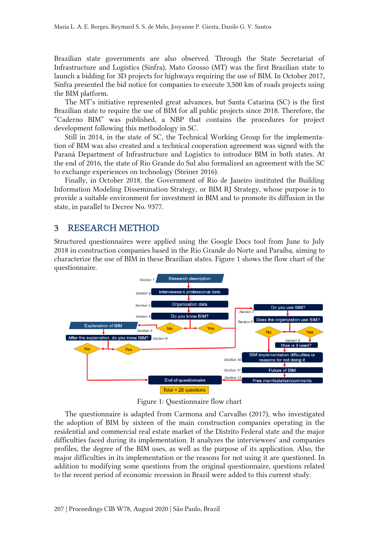Brazilian state governments are also observed. Through the State Secretariat of Infrastructure and Logistics (Sinfra), Mato Grosso (MT) was the first Brazilian state to launch a bidding for 3D projects for highways requiring the use of BIM. In October 2017, Sinfra presented the bid notice for companies to execute 3,500 km of roads projects using the BIM platform.

The MT's initiative represented great advances, but Santa Catarina (SC) is the first Brazilian state to require the use of BIM for all public projects since 2018. Therefore, the "Caderno BIM" was published, a NBP that contains the procedures for project development following this methodology in SC.

Still in 2014, in the state of SC, the Technical Working Group for the implementation of BIM was also created and a technical cooperation agreement was signed with the Paraná Department of Infrastructure and Logistics to introduce BIM in both states. At the end of 2016, the state of Rio Grande do Sul also formalized an agreement with the SC to exchange experiences on technology (Steiner 2016).

Finally, in October 2018, the Government of Rio de Janeiro instituted the Building Information Modeling Dissemination Strategy, or BIM RJ Strategy, whose purpose is to provide a suitable environment for investment in BIM and to promote its diffusion in the state, in parallel to Decree No. 9377.

## 3 RESEARCH METHOD

Structured questionnaires were applied using the Google Docs tool from June to July 2018 in construction companies based in the Rio Grande do Norte and Paraíba, aiming to characterize the use of BIM in these Brazilian states. Figure 1 shows the flow chart of the questionnaire.



Figure 1: Questionnaire flow chart

The questionnaire is adapted from Carmona and Carvalho (2017), who investigated the adoption of BIM by sixteen of the main construction companies operating in the residential and commercial real estate market of the Distrito Federal state and the major difficulties faced during its implementation. It analyzes the interviewees' and companies profiles, the degree of the BIM uses, as well as the purpose of its application. Also, the major difficulties in its implementation or the reasons for not using it are questioned. In addition to modifying some questions from the original questionnaire, questions related to the recent period of economic recession in Brazil were added to this current study.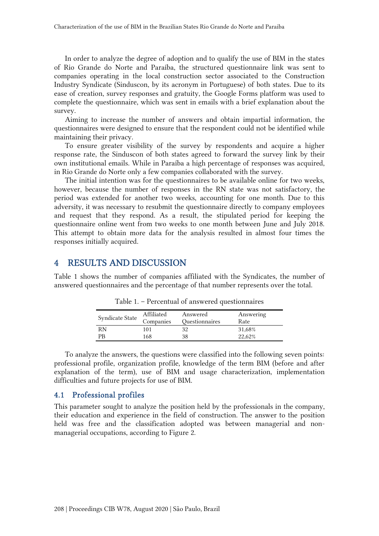In order to analyze the degree of adoption and to qualify the use of BIM in the states of Rio Grande do Norte and Paraíba, the structured questionnaire link was sent to companies operating in the local construction sector associated to the Construction Industry Syndicate (Sinduscon, by its acronym in Portuguese) of both states. Due to its ease of creation, survey responses and gratuity, the Google Forms platform was used to complete the questionnaire, which was sent in emails with a brief explanation about the survey.

Aiming to increase the number of answers and obtain impartial information, the questionnaires were designed to ensure that the respondent could not be identified while maintaining their privacy.

To ensure greater visibility of the survey by respondents and acquire a higher response rate, the Sinduscon of both states agreed to forward the survey link by their own institutional emails. While in Paraíba a high percentage of responses was acquired, in Rio Grande do Norte only a few companies collaborated with the survey.

The initial intention was for the questionnaires to be available online for two weeks, however, because the number of responses in the RN state was not satisfactory, the period was extended for another two weeks, accounting for one month. Due to this adversity, it was necessary to resubmit the questionnaire directly to company employees and request that they respond. As a result, the stipulated period for keeping the questionnaire online went from two weeks to one month between June and July 2018. This attempt to obtain more data for the analysis resulted in almost four times the responses initially acquired.

# 4 RESULTS AND DISCUSSION

Table 1 shows the number of companies affiliated with the Syndicates, the number of answered questionnaires and the percentage of that number represents over the total.

| Syndicate State | Affiliated<br>Companies | Answered<br>Questionnaires | Answering<br>Rate |
|-----------------|-------------------------|----------------------------|-------------------|
| RN              | 101                     | 32                         | 31,68%            |
| PR              | 168                     | 38                         | 22.62%            |

Table 1. – Percentual of answered questionnaires

To analyze the answers, the questions were classified into the following seven points: professional profile, organization profile, knowledge of the term BIM (before and after explanation of the term), use of BIM and usage characterization, implementation difficulties and future projects for use of BIM.

## 4.1 Professional profiles

This parameter sought to analyze the position held by the professionals in the company, their education and experience in the field of construction. The answer to the position held was free and the classification adopted was between managerial and nonmanagerial occupations, according to Figure 2.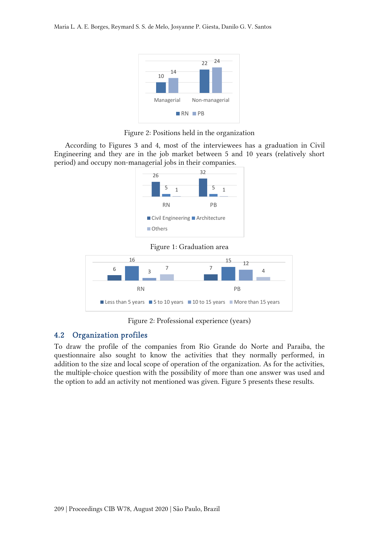

Figure 2: Positions held in the organization

According to Figures 3 and 4, most of the interviewees has a graduation in Civil Engineering and they are in the job market between 5 and 10 years (relatively short period) and occupy non-managerial jobs in their companies.



Figure 1: Graduation area



Figure 2: Professional experience (years)

# 4.2 Organization profiles

To draw the profile of the companies from Rio Grande do Norte and Paraiba, the questionnaire also sought to know the activities that they normally performed, in addition to the size and local scope of operation of the organization. As for the activities, the multiple-choice question with the possibility of more than one answer was used and the option to add an activity not mentioned was given. Figure 5 presents these results.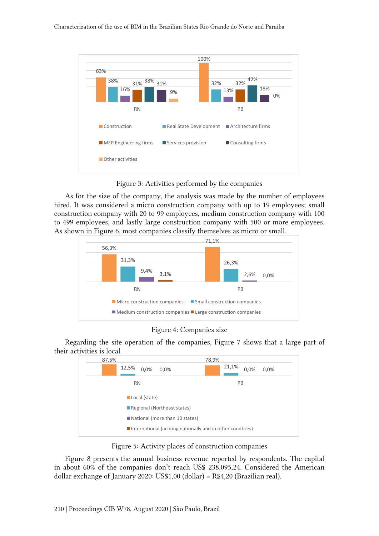

Figure 3: Activities performed by the companies

As for the size of the company, the analysis was made by the number of employees hired. It was considered a micro construction company with up to 19 employees; small construction company with 20 to 99 employees, medium construction company with 100 to 499 employees, and lastly large construction company with 500 or more employees. As shown in Figure 6, most companies classify themselves as micro or small.





Regarding the site operation of the companies, Figure 7 shows that a large part of their activities is local.



Figure 5: Activity places of construction companies

Figure 8 presents the annual business revenue reported by respondents. The capital in about 60% of the companies don't reach US\$ 238.095,24. Considered the American dollar exchange of January 2020: US\$1,00 (dollar) = R\$4,20 (Brazilian real).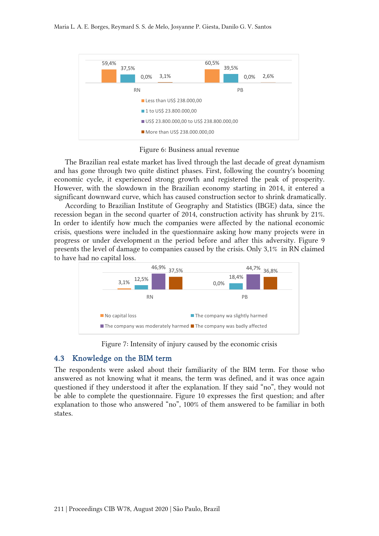

Figure 6: Business anual revenue

The Brazilian real estate market has lived through the last decade of great dynamism and has gone through two quite distinct phases. First, following the country's booming economic cycle, it experienced strong growth and registered the peak of prosperity. However, with the slowdown in the Brazilian economy starting in 2014, it entered a significant downward curve, which has caused construction sector to shrink dramatically.

According to Brazilian Institute of Geography and Statistics (IBGE) data, since the recession began in the second quarter of 2014, construction activity has shrunk by 21%. In order to identify how much the companies were affected by the national economic crisis, questions were included in the questionnaire asking how many projects were in progress or under development <sup>i</sup>n the period before and after this adversity. Figure 9 presents the level of damage to companies caused by the crisis. Only 3,1% in RN claimed to have had no capital loss.



Figure 7: Intensity of injury caused by the economic crisis

#### 4.3 Knowledge on the BIM term

The respondents were asked about their familiarity of the BIM term. For those who answered as not knowing what it means, the term was defined, and it was once again questioned if they understood it after the explanation. If they said "no", they would not be able to complete the questionnaire. Figure 10 expresses the first question; and after explanation to those who answered "no", 100% of them answered to be familiar in both states.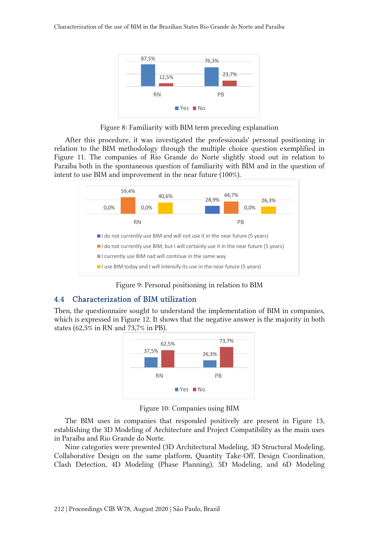

Figure 8: Familiarity with BIM term preceding explanation

After this procedure, it was investigated the professionals' personal positioning in relation to the BIM methodology through the multiple choice question exemplified in Figure 11. The companies of Rio Grande do Norte slightly stood out in relation to Paraíba both in the spontaneous question of familiarity with BIM and in the question of intent to use BIM and improvement in the near future (100%).



Figure 9: Personal positioning in relation to BIM

# 4.4 Characterization of BIM utilization

Then, the questionnaire sought to understand the implementation of BIM in companies, which is expressed in Figure 12. It shows that the negative answer is the majority in both states (62,5% in RN and 73,7% in PB).



Figure 10: Companies using BIM

The BIM uses in companies that responded positively are present in Figure 13, establishing the 3D Modeling of Architecture and Project Compatibility as the main uses in Paraíba and Rio Grande do Norte.

Nine categories were presented (3D Architectural Modeling, 3D Structural Modeling, Collaborative Design on the same platform, Quantity Take-Off, Design Coordination, Clash Detection, 4D Modeling (Phase Planning), 5D Modeling, and 6D Modeling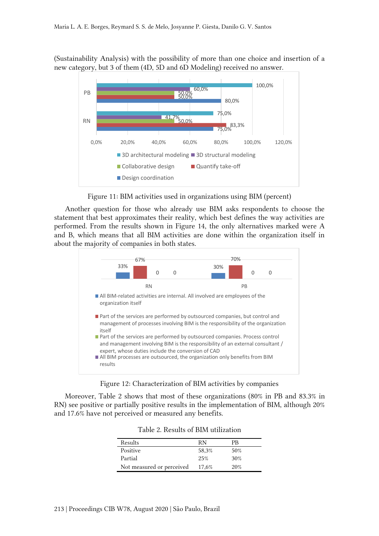(Sustainability Analysis) with the possibility of more than one choice and insertion of a new category, but 3 of them (4D, 5D and 6D Modeling) received no answer.



Figure 11: BIM activities used in organizations using BIM (percent)

Another question for those who already use BIM asks respondents to choose the statement that best approximates their reality, which best defines the way activities are performed. From the results shown in Figure 14, the only alternatives marked were A and B, which means that all BIM activities are done within the organization itself in about the majority of companies in both states.



Figure 12: Characterization of BIM activities by companies

Moreover, Table 2 shows that most of these organizations (80% in PB and 83.3% in RN) see positive or partially positive results in the implementation of BIM, although 20% and 17.6% have not perceived or measured any benefits.

| Results                   | RN    | PR  |
|---------------------------|-------|-----|
| Positive                  | 58,3% | 50% |
| Partial                   | 25%   | 30% |
| Not measured or perceived | 17,6% | 20% |

Table 2. Results of BIM utilization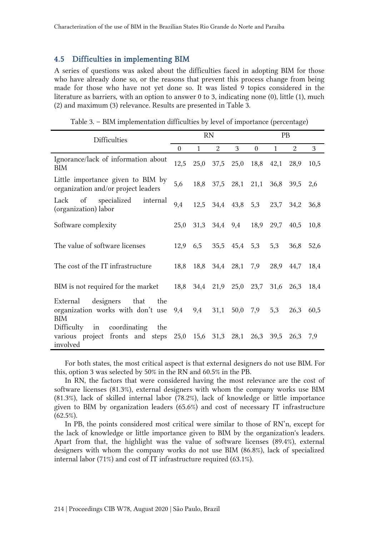#### 4.5 Difficulties in implementing BIM

A series of questions was asked about the difficulties faced in adopting BIM for those who have already done so, or the reasons that prevent this process change from being made for those who have not yet done so. It was listed 9 topics considered in the literature as barriers, with an option to answer 0 to 3, indicating none (0), little (1), much (2) and maximum (3) relevance. Results are presented in Table 3.

| <b>Difficulties</b>                                                               |  | <b>RN</b>    |                     |               |                          | <b>PB</b>    |           |      |  |
|-----------------------------------------------------------------------------------|--|--------------|---------------------|---------------|--------------------------|--------------|-----------|------|--|
|                                                                                   |  | $\mathbf{1}$ | $\overline{2}$      | 3             | $\overline{0}$           | $\mathbf{1}$ | 2         | 3    |  |
| Ignorance/lack of information about<br><b>BIM</b>                                 |  | 25,0         |                     | 37,5 25,0     | 18,8                     |              | 42,1 28,9 | 10,5 |  |
| Little importance given to BIM by<br>organization and/or project leaders          |  | 18,8         |                     |               | 37,5 28,1 21,1           | 36,8 39,5    |           | 2,6  |  |
| of specialized<br>internal<br>Lack<br>(organization) labor                        |  | 12,5         |                     |               | 34,4 43,8 5,3            | 23,7         | 34,2      | 36,8 |  |
| Software complexity                                                               |  | 31,3         |                     |               | 34,4 9,4 18,9            | 29,7         | 40,5      | 10,8 |  |
| The value of software licenses                                                    |  | 6,5          |                     | 35,5 45,4 5,3 |                          | 5,3          | 36,8      | 52,6 |  |
| The cost of the IT infrastructure                                                 |  | 18,8<br>18,8 |                     | 34,4 28,1     | 7,9                      | 28,9         | 44,7      | 18,4 |  |
| BIM is not required for the market                                                |  |              |                     |               | 18,8 34,4 21,9 25,0 23,7 |              | 31,6 26,3 | 18,4 |  |
| External designers that<br>the<br>organization works with don't use<br><b>BIM</b> |  | 9,4<br>9,4   | 31,1                | 50,0          | 7,9                      | 5,3          | 26,3      | 60,5 |  |
| Difficulty in coordinating<br>the<br>various project fronts and steps<br>involved |  |              | 25,0 15,6 31,3 28,1 |               | 26,3                     | 39,5         | 26,3      | 7,9  |  |

Table 3. – BIM implementation difficulties by level of importance (percentage)

For both states, the most critical aspect is that external designers do not use BIM. For this, option 3 was selected by 50% in the RN and 60.5% in the PB.

In RN, the factors that were considered having the most relevance are the cost of software licenses (81.3%), external designers with whom the company works use BIM (81.3%), lack of skilled internal labor (78.2%), lack of knowledge or little importance given to BIM by organization leaders (65.6%) and cost of necessary IT infrastructure  $(62.5\%).$ 

In PB, the points considered most critical were similar to those of RN'n, except for the lack of knowledge or little importance given to BIM by the organization's leaders. Apart from that, the highlight was the value of software licenses (89.4%), external designers with whom the company works do not use BIM (86.8%), lack of specialized internal labor (71%) and cost of IT infrastructure required (63.1%).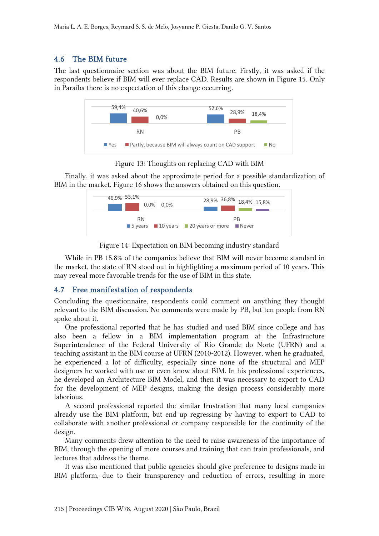# 4.6 The BIM future

The last questionnaire section was about the BIM future. Firstly, it was asked if the respondents believe if BIM will ever replace CAD. Results are shown in Figure 15. Only in Paraíba there is no expectation of this change occurring.



Figure 13: Thoughts on replacing CAD with BIM

Finally, it was asked about the approximate period for a possible standardization of BIM in the market. Figure 16 shows the answers obtained on this question.



Figure 14: Expectation on BIM becoming industry standard

While in PB 15.8% of the companies believe that BIM will never become standard in the market, the state of RN stood out in highlighting a maximum period of 10 years. This may reveal more favorable trends for the use of BIM in this state.

## 4.7 Free manifestation of respondents

Concluding the questionnaire, respondents could comment on anything they thought relevant to the BIM discussion. No comments were made by PB, but ten people from RN spoke about it.

One professional reported that he has studied and used BIM since college and has also been a fellow in a BIM implementation program at the Infrastructure Superintendence of the Federal University of Rio Grande do Norte (UFRN) and a teaching assistant in the BIM course at UFRN (2010-2012). However, when he graduated, he experienced a lot of difficulty, especially since none of the structural and MEP designers he worked with use or even know about BIM. In his professional experiences, he developed an Architecture BIM Model, and then it was necessary to export to CAD for the development of MEP designs, making the design process considerably more laborious.

A second professional reported the similar frustration that many local companies already use the BIM platform, but end up regressing by having to export to CAD to collaborate with another professional or company responsible for the continuity of the design.

Many comments drew attention to the need to raise awareness of the importance of BIM, through the opening of more courses and training that can train professionals, and lectures that address the theme.

It was also mentioned that public agencies should give preference to designs made in BIM platform, due to their transparency and reduction of errors, resulting in more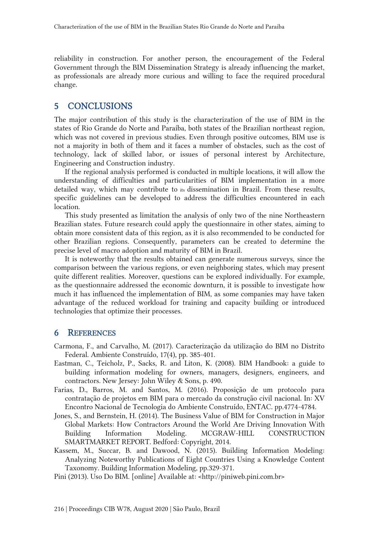reliability in construction. For another person, the encouragement of the Federal Government through the BIM Dissemination Strategy is already influencing the market, as professionals are already more curious and willing to face the required procedural change.

## 5 CONCLUSIONS

The major contribution of this study is the characterization of the use of BIM in the states of Rio Grande do Norte and Paraíba, both states of the Brazilian northeast region, which was not covered in previous studies. Even through positive outcomes, BIM use is not a majority in both of them and it faces a number of obstacles, such as the cost of technology, lack of skilled labor, or issues of personal interest by Architecture, Engineering and Construction industry.

If the regional analysis performed is conducted in multiple locations, it will allow the understanding of difficulties and particularities of BIM implementation in a more detailed way, which may contribute to its dissemination in Brazil. From these results, specific guidelines can be developed to address the difficulties encountered in each location.

This study presented as limitation the analysis of only two of the nine Northeastern Brazilian states. Future research could apply the questionnaire in other states, aiming to obtain more consistent data of this region, as it is also recommended to be conducted for other Brazilian regions. Consequently, parameters can be created to determine the precise level of macro adoption and maturity of BIM in Brazil.

It is noteworthy that the results obtained can generate numerous surveys, since the comparison between the various regions, or even neighboring states, which may present quite different realities. Moreover, questions can be explored individually. For example, as the questionnaire addressed the economic downturn, it is possible to investigate how much it has influenced the implementation of BIM, as some companies may have taken advantage of the reduced workload for training and capacity building or introduced technologies that optimize their processes.

#### 6 REFERENCES

- Carmona, F., and Carvalho, M. (2017). Caracterização da utilização do BIM no Distrito Federal. Ambiente Construído, 17(4), pp. 385-401.
- Eastman, C., Teicholz, P., Sacks, R. and Liton, K. (2008). BIM Handbook: a guide to building information modeling for owners, managers, designers, engineers, and contractors. New Jersey: John Wiley & Sons, p. 490.
- Farias, D., Barros, M. and Santos, M. (2016). Proposição de um protocolo para contratação de projetos em BIM para o mercado da construção civil nacional. In: XV Encontro Nacional de Tecnologia do Ambiente Construído, ENTAC. pp.4774-4784.
- Jones, S., and Bernstein, H. (2014). The Business Value of BIM for Construction in Major Global Markets: How Contractors Around the World Are Driving Innovation With Building Information Modeling. MCGRAW-HILL CONSTRUCTION SMARTMARKET REPORT. Bedford: Copyright, 2014.
- Kassem, M., Succar, B. and Dawood, N. (2015). Building Information Modeling: Analyzing Noteworthy Publications of Eight Countries Using a Knowledge Content Taxonomy. Building Information Modeling, pp.329-371.
- Pini (2013). Uso Do BIM. [online] Available at: <http://piniweb.pini.com.br>